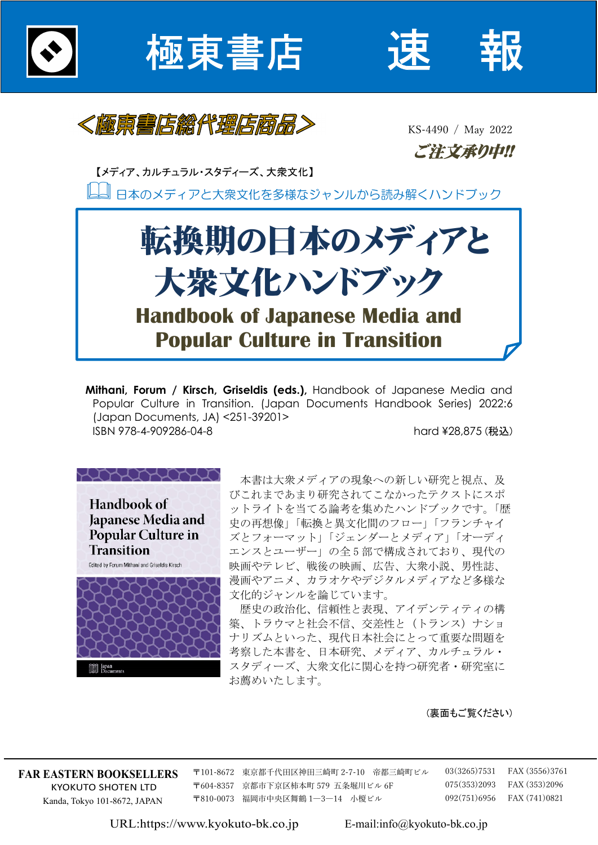

極東書店





KS-4490 / May 2022 ご注文承り中!!

【メディア、カルチュラル・スタディーズ、大衆文化】

日本のメディアと大衆文化を多様なジャンルから読み解くハンドブック



**Mithani, Forum / Kirsch, Griseldis (eds.),** Handbook of Japanese Media and Popular Culture in Transition. (Japan Documents Handbook Series) 2022:6 (Japan Documents, JA) <251-39201> ISBN 978-4-909286-04-8 hard ¥28,875 (税込)



本書は大衆メディアの現象への新しい研究と視点、及 びこれまであまり研究されてこなかったテクストにスポ ットライトを当てる論考を集めたハンドブックです。「歴 史の再想像」「転換と異文化間のフロー」「フランチャイ ズとフォーマット」「ジェンダーとメディア」「オーディ エンスとユーザー」の全 5 部で構成されており、現代の 映画やテレビ、戦後の映画、広告、大衆小説、男性誌、 漫画やアニメ、カラオケやデジタルメディアなど多様な 文化的ジャンルを論じています。

歴史の政治化、信頼性と表現、アイデンティティの構 築、トラウマと社会不信、交差性と(トランス)ナショ ナリズムといった、現代日本社会にとって重要な問題を 考察した本書を、日本研究、メディア、カルチュラル・ スタディーズ、大衆文化に関心を持つ研究者・研究室に お薦めいたします。

(裏面もご覧ください)

**FAR EASTERN BOOKSELLERS**  KYOKUTO SHOTEN LTD Kanda, Tokyo 101-8672, JAPAN

〒101-8672 東京都千代田区神田三崎町 2-7-10 帝都三崎町ビル 〒604-8357 京都市下京区柿本町 579 五条堀川ビル 6F 〒810-0073 福岡市中央区舞鶴 1―3―14 小榎ビル

 03(3265)7531 FAX (3556)3761 075(353)2093 FAX (353)2096 092(751)6956 FAX (741)0821

URL:https://www.kyokuto-bk.co.jp E-mail:info@kyokuto-bk.co.jp